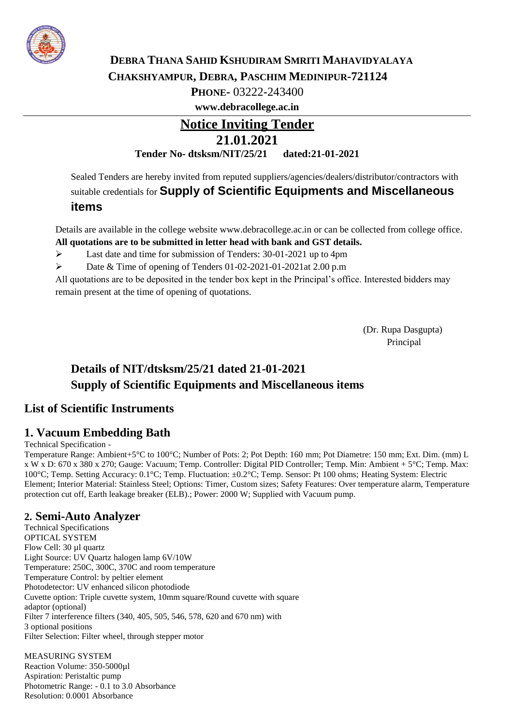

### **DEBRA THANA SAHID KSHUDIRAM SMRITI MAHAVIDYALAYA CHAKSHYAMPUR, DEBRA, PASCHIM MEDINIPUR-721124**

**PHONE-** 03222-243400

**[www.debracollege.ac.in](http://www.debracollege.ac.in/)**

# **Notice Inviting Tender 21.01.2021 Tender No- dtsksm/NIT/25/21 dated:21-01-2021**

Sealed Tenders are hereby invited from reputed suppliers/agencies/dealers/distributor/contractors with suitable credentials for **Supply of Scientific Equipments and Miscellaneous** 

### **items**

Details are available in the college website [www.debracollege.ac.in o](http://www.debracollege.ac.in/)r can be collected from college office. **All quotations are to be submitted in letter head with bank and GST details.**

Last date and time for submission of Tenders: 30-01-2021 up to 4pm

Date & Time of opening of Tenders 01-02-2021-01-2021at 2.00 p.m

All quotations are to be deposited in the tender box kept in the Principal's office. Interested bidders may remain present at the time of opening of quotations.

> (Dr. Rupa Dasgupta) Principal

# **Details of NIT/dtsksm/25/21 dated 21-01-2021 Supply of Scientific Equipments and Miscellaneous items**

## **List of Scientific Instruments**

## **1. Vacuum Embedding Bath**

#### Technical Specification -

Temperature Range: Ambient+5°C to 100°C; Number of Pots: 2; Pot Depth: 160 mm; Pot Diametre: 150 mm; Ext. Dim. (mm) L x W x D: 670 x 380 x 270; Gauge: Vacuum; Temp. Controller: Digital PID Controller; Temp. Min: Ambient + 5°C; Temp. Max: 100°C; Temp. Setting Accuracy: 0.1°C; Temp. Fluctuation: ±0.2°C; Temp. Sensor: Pt 100 ohms; Heating System: Electric Element; Interior Material: Stainless Steel; Options: Timer, Custom sizes; Safety Features: Over temperature alarm, Temperature protection cut off, Earth leakage breaker (ELB).; Power: 2000 W; Supplied with Vacuum pump.

### **2. Semi-Auto Analyzer**

Technical Specifications OPTICAL SYSTEM Flow Cell: 30 µl quartz Light Source: UV Quartz halogen lamp 6V/10W Temperature: 250C, 300C, 370C and room temperature Temperature Control: by peltier element Photodetector: UV enhanced silicon photodiode Cuvette option: Triple cuvette system, 10mm square/Round cuvette with square adaptor (optional) Filter 7 interference filters (340, 405, 505, 546, 578, 620 and 670 nm) with 3 optional positions Filter Selection: Filter wheel, through stepper motor

MEASURING SYSTEM Reaction Volume: 350-5000µl Aspiration: Peristaltic pump Photometric Range: - 0.1 to 3.0 Absorbance Resolution: 0.0001 Absorbance